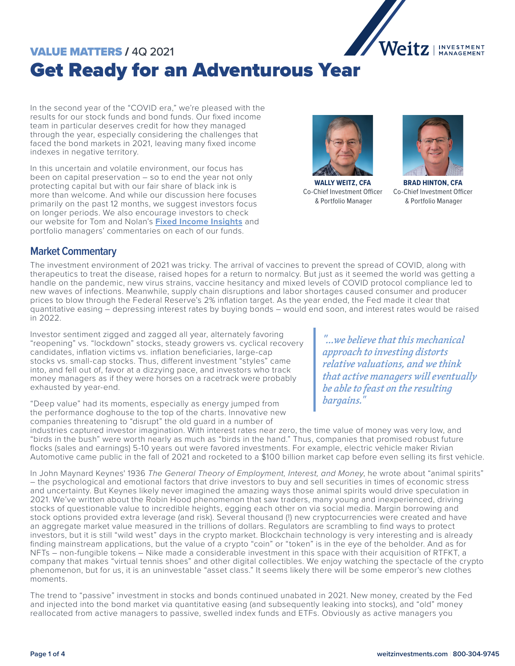

# VALUE MATTERS / 4Q 2021 Get Ready for an Adventurous Year

In the second year of the "COVID era," we're pleased with the results for our stock funds and bond funds. Our fixed income team in particular deserves credit for how they managed through the year, especially considering the challenges that faced the bond markets in 2021, leaving many fixed income indexes in negative territory.

In this uncertain and volatile environment, our focus has been on capital preservation – so to end the year not only protecting capital but with our fair share of black ink is more than welcome. And while our discussion here focuses primarily on the past 12 months, we suggest investors focus on longer periods. We also encourage investors to check our website for Tom and Nolan's **[Fixed Income Insights](https://weitzinvestments.com/perspectives/investment-insights/a-153/not-so-bold-predictions.fs)** and portfolio managers' commentaries on each of our funds.



**WALLY WEITZ, CFA** Co-Chief Investment Officer & Portfolio Manager



**BRAD HINTON, CFA** Co-Chief Investment Officer & Portfolio Manager

#### **Market Commentary**

The investment environment of 2021 was tricky. The arrival of vaccines to prevent the spread of COVID, along with therapeutics to treat the disease, raised hopes for a return to normalcy. But just as it seemed the world was getting a handle on the pandemic, new virus strains, vaccine hesitancy and mixed levels of COVID protocol compliance led to new waves of infections. Meanwhile, supply chain disruptions and labor shortages caused consumer and producer prices to blow through the Federal Reserve's 2% inflation target. As the year ended, the Fed made it clear that quantitative easing – depressing interest rates by buying bonds – would end soon, and interest rates would be raised in 2022.

Investor sentiment zigged and zagged all year, alternately favoring "reopening" vs. "lockdown" stocks, steady growers vs. cyclical recovery candidates, inflation victims vs. inflation beneficiaries, large-cap stocks vs. small-cap stocks. Thus, different investment "styles" came into, and fell out of, favor at a dizzying pace, and investors who track money managers as if they were horses on a racetrack were probably exhausted by year-end.

"Deep value" had its moments, especially as energy jumped from the performance doghouse to the top of the charts. Innovative new companies threatening to "disrupt" the old guard in a number of

*"...we believe that this mechanical approach to investing distorts relative valuations, and we think that active managers will eventually be able to feast on the resulting bargains."*

industries captured investor imagination. With interest rates near zero, the time value of money was very low, and "birds in the bush" were worth nearly as much as "birds in the hand." Thus, companies that promised robust future flocks (sales and earnings) 5-10 years out were favored investments. For example, electric vehicle maker Rivian Automotive came public in the fall of 2021 and rocketed to a \$100 billion market cap before even selling its first vehicle.

In John Maynard Keynes' 1936 *The General Theory of Employment, Interest, and Money*, he wrote about "animal spirits" – the psychological and emotional factors that drive investors to buy and sell securities in times of economic stress and uncertainty. But Keynes likely never imagined the amazing ways those animal spirits would drive speculation in 2021. We've written about the Robin Hood phenomenon that saw traders, many young and inexperienced, driving stocks of questionable value to incredible heights, egging each other on via social media. Margin borrowing and stock options provided extra leverage (and risk). Several thousand (!) new cryptocurrencies were created and have an aggregate market value measured in the trillions of dollars. Regulators are scrambling to find ways to protect investors, but it is still "wild west" days in the crypto market. Blockchain technology is very interesting and is already finding mainstream applications, but the value of a crypto "coin" or "token" is in the eye of the beholder. And as for NFTs – non-fungible tokens – Nike made a considerable investment in this space with their acquisition of RTFKT, a company that makes "virtual tennis shoes" and other digital collectibles. We enjoy watching the spectacle of the crypto phenomenon, but for us, it is an uninvestable "asset class." It seems likely there will be some emperor's new clothes moments.

The trend to "passive" investment in stocks and bonds continued unabated in 2021. New money, created by the Fed and injected into the bond market via quantitative easing (and subsequently leaking into stocks), and "old" money reallocated from active managers to passive, swelled index funds and ETFs. Obviously as active managers you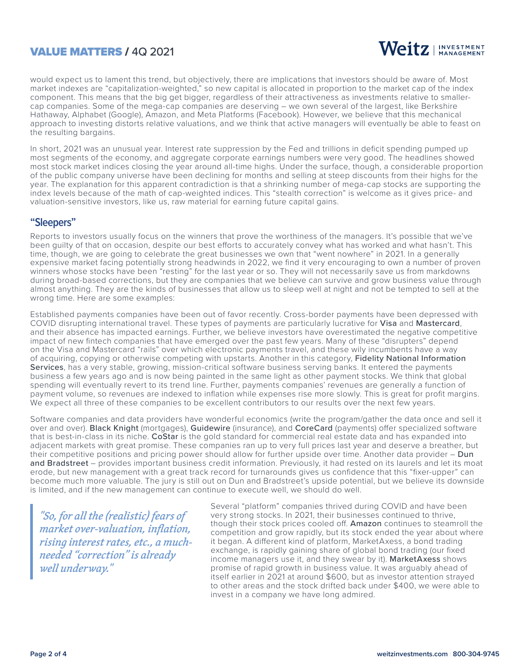### VALUE MATTERS / 4Q 2021



would expect us to lament this trend, but objectively, there are implications that investors should be aware of. Most market indexes are "capitalization-weighted," so new capital is allocated in proportion to the market cap of the index component. This means that the big get bigger, regardless of their attractiveness as investments relative to smallercap companies. Some of the mega-cap companies are deserving – we own several of the largest, like Berkshire Hathaway, Alphabet (Google), Amazon, and Meta Platforms (Facebook). However, we believe that this mechanical approach to investing distorts relative valuations, and we think that active managers will eventually be able to feast on the resulting bargains.

In short, 2021 was an unusual year. Interest rate suppression by the Fed and trillions in deficit spending pumped up most segments of the economy, and aggregate corporate earnings numbers were very good. The headlines showed most stock market indices closing the year around all-time highs. Under the surface, though, a considerable proportion of the public company universe have been declining for months and selling at steep discounts from their highs for the year. The explanation for this apparent contradiction is that a shrinking number of mega-cap stocks are supporting the index levels because of the math of cap-weighted indices. This "stealth correction" is welcome as it gives price- and valuation-sensitive investors, like us, raw material for earning future capital gains.

#### **"Sleepers"**

Reports to investors usually focus on the winners that prove the worthiness of the managers. It's possible that we've been guilty of that on occasion, despite our best efforts to accurately convey what has worked and what hasn't. This time, though, we are going to celebrate the great businesses we own that "went nowhere" in 2021. In a generally expensive market facing potentially strong headwinds in 2022, we find it very encouraging to own a number of proven winners whose stocks have been "resting" for the last year or so. They will not necessarily save us from markdowns during broad-based corrections, but they are companies that we believe can survive and grow business value through almost anything. They are the kinds of businesses that allow us to sleep well at night and not be tempted to sell at the wrong time. Here are some examples:

Established payments companies have been out of favor recently. Cross-border payments have been depressed with COVID disrupting international travel. These types of payments are particularly lucrative for Visa and Mastercard, and their absence has impacted earnings. Further, we believe investors have overestimated the negative competitive impact of new fintech companies that have emerged over the past few years. Many of these "disrupters" depend on the Visa and Mastercard "rails" over which electronic payments travel, and these wily incumbents have a way of acquiring, copying or otherwise competing with upstarts. Another in this category, Fidelity National Information Services, has a very stable, growing, mission-critical software business serving banks. It entered the payments business a few years ago and is now being painted in the same light as other payment stocks. We think that global spending will eventually revert to its trend line. Further, payments companies' revenues are generally a function of payment volume, so revenues are indexed to inflation while expenses rise more slowly. This is great for profit margins. We expect all three of these companies to be excellent contributors to our results over the next few years.

Software companies and data providers have wonderful economics (write the program/gather the data once and sell it over and over). Black Knight (mortgages), Guidewire (insurance), and CoreCard (payments) offer specialized software that is best-in-class in its niche. CoStar is the gold standard for commercial real estate data and has expanded into adjacent markets with great promise. These companies ran up to very full prices last year and deserve a breather, but their competitive positions and pricing power should allow for further upside over time. Another data provider – Dun and Bradstreet – provides important business credit information. Previously, it had rested on its laurels and let its moat erode, but new management with a great track record for turnarounds gives us confidence that this "fixer-upper" can become much more valuable. The jury is still out on Dun and Bradstreet's upside potential, but we believe its downside is limited, and if the new management can continue to execute well, we should do well.

*"So, for all the (realistic) fears of market over-valuation, inflation, rising interest rates, etc., a muchneeded "correction" is already well underway."*

Several "platform" companies thrived during COVID and have been very strong stocks. In 2021, their businesses continued to thrive, though their stock prices cooled off. Amazon continues to steamroll the competition and grow rapidly, but its stock ended the year about where it began. A different kind of platform, MarketAxess, a bond trading exchange, is rapidly gaining share of global bond trading (our fixed income managers use it, and they swear by it). MarketAxess shows promise of rapid growth in business value. It was arguably ahead of itself earlier in 2021 at around \$600, but as investor attention strayed to other areas and the stock drifted back under \$400, we were able to invest in a company we have long admired.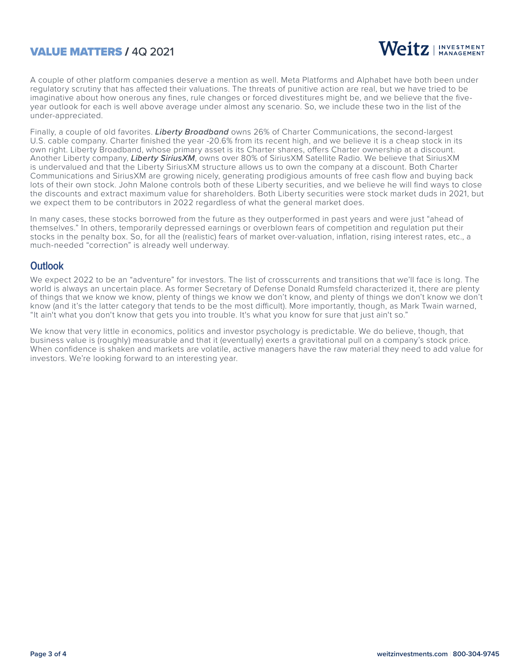## VALUE MATTERS / 4Q 2021



A couple of other platform companies deserve a mention as well. Meta Platforms and Alphabet have both been under regulatory scrutiny that has affected their valuations. The threats of punitive action are real, but we have tried to be imaginative about how onerous any fines, rule changes or forced divestitures might be, and we believe that the fiveyear outlook for each is well above average under almost any scenario. So, we include these two in the list of the under-appreciated.

Finally, a couple of old favorites. *Liberty Broadband* owns 26% of Charter Communications, the second-largest U.S. cable company. Charter finished the year -20.6% from its recent high, and we believe it is a cheap stock in its own right. Liberty Broadband, whose primary asset is its Charter shares, offers Charter ownership at a discount. Another Liberty company, *Liberty SiriusXM*, owns over 80% of SiriusXM Satellite Radio. We believe that SiriusXM is undervalued and that the Liberty SiriusXM structure allows us to own the company at a discount. Both Charter Communications and SiriusXM are growing nicely, generating prodigious amounts of free cash flow and buying back lots of their own stock. John Malone controls both of these Liberty securities, and we believe he will find ways to close the discounts and extract maximum value for shareholders. Both Liberty securities were stock market duds in 2021, but we expect them to be contributors in 2022 regardless of what the general market does.

In many cases, these stocks borrowed from the future as they outperformed in past years and were just "ahead of themselves." In others, temporarily depressed earnings or overblown fears of competition and regulation put their stocks in the penalty box. So, for all the (realistic) fears of market over-valuation, inflation, rising interest rates, etc., a much-needed "correction" is already well underway.

#### **Outlook**

We expect 2022 to be an "adventure" for investors. The list of crosscurrents and transitions that we'll face is long. The world is always an uncertain place. As former Secretary of Defense Donald Rumsfeld characterized it, there are plenty of things that we know we know, plenty of things we know we don't know, and plenty of things we don't know we don't know (and it's the latter category that tends to be the most difficult). More importantly, though, as Mark Twain warned, "It ain't what you don't know that gets you into trouble. It's what you know for sure that just ain't so."

We know that very little in economics, politics and investor psychology is predictable. We do believe, though, that business value is (roughly) measurable and that it (eventually) exerts a gravitational pull on a company's stock price. When confidence is shaken and markets are volatile, active managers have the raw material they need to add value for investors. We're looking forward to an interesting year.